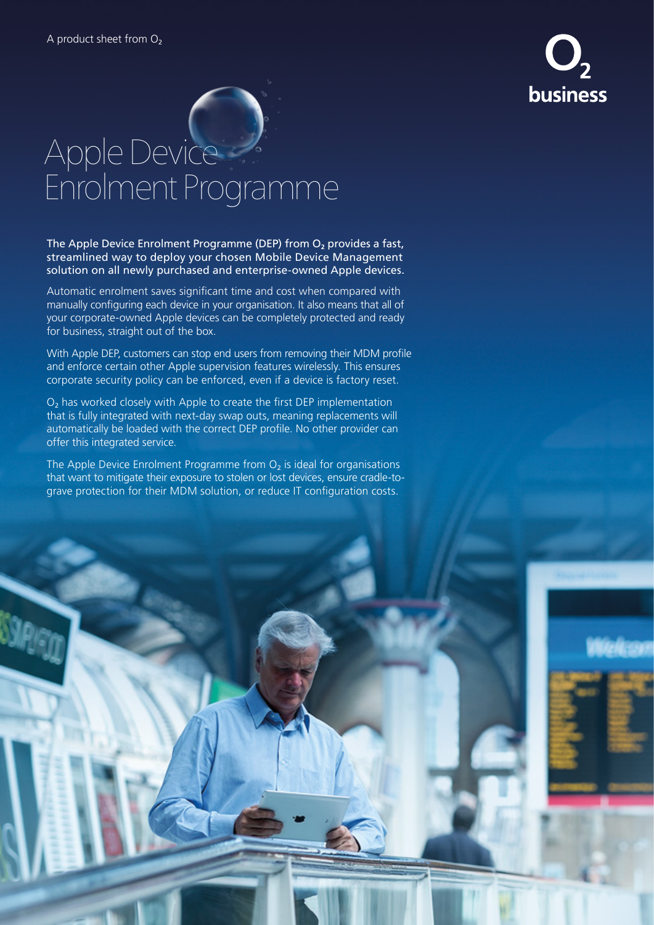# Apple Device Enrolment Programme

#### The Apple Device Enrolment Programme (DEP) from O**2** provides a fast, streamlined way to deploy your chosen Mobile Device Management solution on all newly purchased and enterprise-owned Apple devices.

Automatic enrolment saves significant time and cost when compared with manually configuring each device in your organisation. It also means that all of your corporate-owned Apple devices can be completely protected and ready for business, straight out of the box.

With Apple DEP, customers can stop end users from removing their MDM profile and enforce certain other Apple supervision features wirelessly. This ensures corporate security policy can be enforced, even if a device is factory reset.

O<sub>2</sub> has worked closely with Apple to create the first DEP implementation that is fully integrated with next-day swap outs, meaning replacements will automatically be loaded with the correct DEP profile. No other provider can offer this integrated service.

The Apple Device Enrolment Programme from  $O<sub>2</sub>$  is ideal for organisations that want to mitigate their exposure to stolen or lost devices, ensure cradle-tograve protection for their MDM solution, or reduce IT configuration costs.



business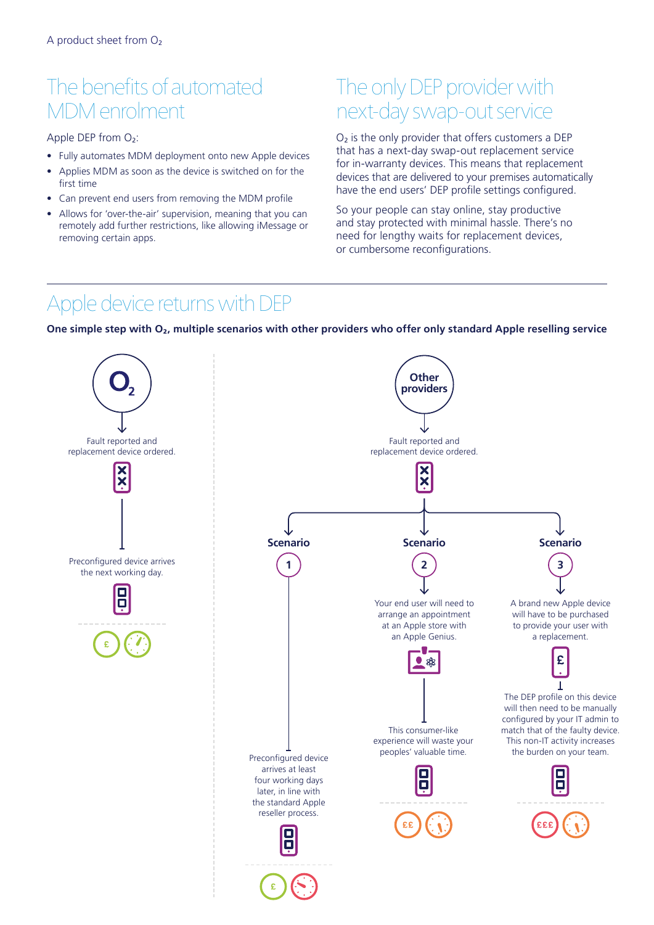# The benefits of automated MDM enrolment

Apple DEP from O<sub>2</sub>:

- Fully automates MDM deployment onto new Apple devices
- Applies MDM as soon as the device is switched on for the first time
- Can prevent end users from removing the MDM profile
- Allows for 'over-the-air' supervision, meaning that you can remotely add further restrictions, like allowing iMessage or removing certain apps.

## The only DEP provider with next-day swap-out service

 $O<sub>2</sub>$  is the only provider that offers customers a DEP that has a next-day swap-out replacement service for in-warranty devices. This means that replacement devices that are delivered to your premises automatically have the end users' DEP profile settings configured.

So your people can stay online, stay productive and stay protected with minimal hassle. There's no need for lengthy waits for replacement devices, or cumbersome reconfigurations.

# Apple device returns with DEP

**One simple step with O**2**, multiple scenarios with other providers who offer only standard Apple reselling service**